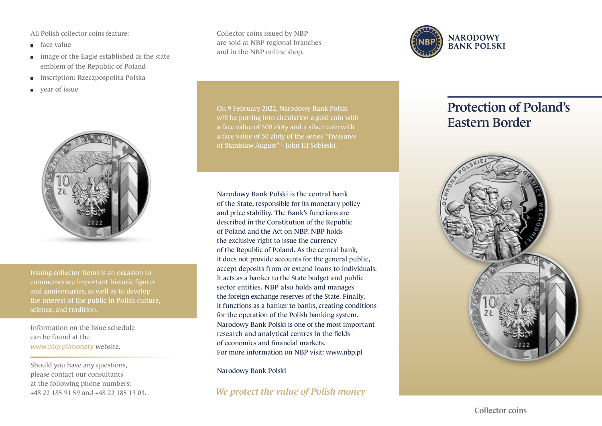All Polish collector coins feature:

- face value
- image of the Eagle established as the state emblem of the Republic of Poland
- inscription: Rzeczpospolita Polska  $\Box$
- year of issue



Issuing collector items is an occasion to commemorate important historic figures and anniversaries, as well as to develop science, and tradition.

Information on the issue schedule can be found at the www.nbp.pl/monety website.

Should you have any questions, please contact our consultants at the following phone numbers: +48 22 185 91 59 and +48 22 185 13 03. Collector coins issued by NBP are sold at NBP regional branches and in the NBP online shop.



Narodowy Bank Polski is the central bank of the State, responsible for its monetary policy and price stability. The Bank's functions are described in the Constitution of the Republic of Poland and the Act on NBP. NBP holds the exclusive right to issue the currency of the Republic of Poland. As the central bank, it does not provide accounts for the general public, accept deposits from or extend loans to individuals. It acts as a banker to the State budget and public sector entities. NBP also holds and manages the foreign exchange reserves of the State. Finally, it functions as a banker to banks, creating conditions for the operation of the Polish banking system. Narodowy Bank Polski is one of the most important research and analytical centres in the fields of economics and financial markets. For more information on NBP visit: www.nbp.pl

Narodowy Bank Polski

*We protect the value of Polish money*



## Protection of Poland's Eastern Border